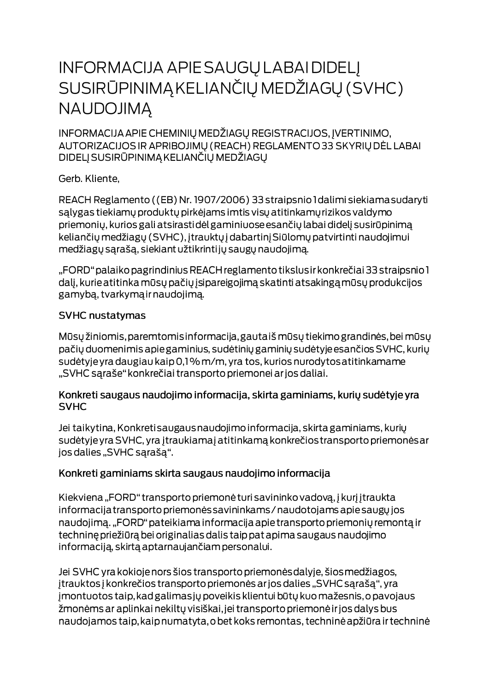# **INFORMACIJA APIE SAUGŲ LABAI DIDELĮ** SUSIRŪPINIMĄ KELIANČIŲ MEDŽIAGŲ (SVHC) **NAUDOJIMA**

INFORMACIJA APIE CHEMINIŲ MEDŽIAGŲ REGISTRACIJOS, ĮVERTINIMO, AUTORIZACIJOS IR APRIBOJIMŲ (REACH) REGLAMENTO 33 SKYRIŲ DĖL LABAI DIDELJ SUSIRŪPINIMĄ KELIANČIŲ MEDŽIAGŲ

Gerb. Kliente,

REACH Reglamento ((EB) Nr. 1907/2006) 33 straipsnio I dalimi siekiama sudaryti salygas tiekiamų produktų pirkėjams imtis visų atitinkamų rizikos valdymo priemonių, kurios gali atsirastidėl gaminiuose esančių labai didelį susirūpinimą keliančių medžiagų (SVHC), įtrauktų į dabartinį Siūlomų patvirtinti naudojimui medžiagų sąrašą, siekiant užtikrintijų saugų naudojimą.

"FORD" palaiko pagrindinius REACH reglamento tikslus ir konkrečiai 33 straipsnio 1 dalį, kurie atitinka mūsų pačių įsipareigojimą skatinti atsakingą mūsų produkcijos gamybą, tvarkymą ir naudojimą.

#### **SVHC nustatymas**

Mūsų žiniomis, paremtomis informacija, gautaiš mūsų tiekimo grandinės, bei mūsų pačių duomenimis apie gaminius, sudėtinių gaminių sudėtyje esančios SVHC, kurių sudėtyje yra daugiau kaip 0,1% m/m, yra tos, kurios nurodytos atitinkamame "SVHC sąraše" konkrečiai transporto priemonei ar jos daliai.

#### Konkreti saugaus naudojimo informacija, skirta gaminiams, kurių sudėtyje yra **SVHC**

Jei taikytina, Konkreti saugaus naudojimo informacija, skirta gaminiams, kurių sudėtyje yra SVHC, yra įtraukiamaj atitinkamą konkrečios transporto priemonės ar jos dalies "SVHC sąrašą".

### Konkreti gaminiams skirta saugaus naudojimo informacija

Kiekviena "FORD" transporto priemonė turi savininko vadovą, į kurį įtraukta informacija transporto priemonės savininkams / naudotojams apie saugų jos naudojimą. "FORD" pateikiama informacija apie transporto priemonių remontą ir techninę priežiūrą bei originalias dalis taip pat apima saugaus naudojimo informaciją, skirtą aptarnaujančiam personalui.

Jei SVHC yra kokioje nors šios transporto priemonės dalyje, šios medžiagos, įtrauktos į konkrečios transporto priemonės ar jos dalies "SVHC sąrašą", yra jmontuotos taip, kad galimas jų poveikis klientui būtų kuo mažesnis, o pavojaus žmonėms ar aplinkai nekiltų visiškai, jei transporto priemonė ir jos dalys bus naudojamos taip, kaip numatyta, o bet koks remontas, techninė apžiūra ir techninė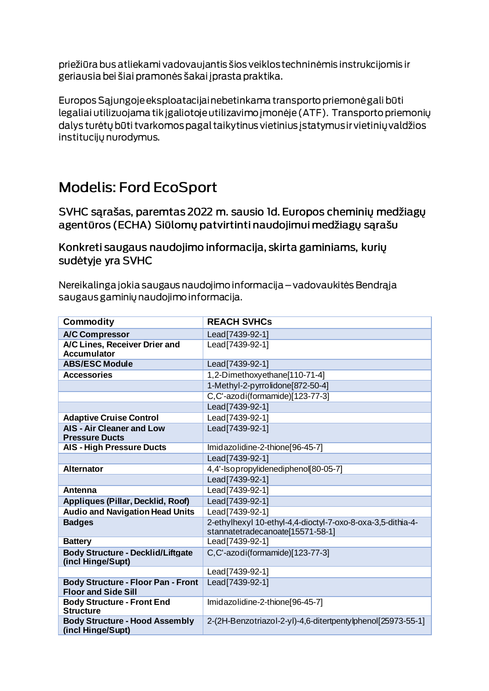priežiūra bus atliekami vadovaujantis šios veiklos techninėmis instrukcijomis ir geriausia bei šiai pramonės šakai į prasta praktika.

Europos Sąjungoje eksploatacijai nebetinkama transporto priemonė gali būti legaliai utilizuojama tik įgaliotoje utilizavimo įmonėje (ATF). Transporto priemonių dalys turėtų būti tvarkomos pagal taikytinus vietinius įstatymus ir vietinių valdžios institucijų nurodymus.

## **Modelis: Ford EcoSport**

SVHC sarašas, paremtas 2022 m. sausio 1d. Europos cheminių medžiagų agentūros (ECHA) Siūlomų patvirtinti naudojimui medžiagų sąrašu

Konkreti saugaus naudojimo informacija, skirta gaminiams, kurių sudėtyje yra SVHC

Nereikalinga jokia saugaus naudojimo informacija – vadovaukitės Bendrąja saugaus gaminių naudojimo informacija.

| <b>Commodity</b>                                                        | <b>REACH SVHCs</b>                                                                              |
|-------------------------------------------------------------------------|-------------------------------------------------------------------------------------------------|
| <b>A/C Compressor</b>                                                   | Lead[7439-92-1]                                                                                 |
| A/C Lines, Receiver Drier and<br><b>Accumulator</b>                     | Lead[7439-92-1]                                                                                 |
| <b>ABS/ESC Module</b>                                                   | Lead[7439-92-1]                                                                                 |
| <b>Accessories</b>                                                      | 1,2-Dimethoxyethane[110-71-4]                                                                   |
|                                                                         | 1-Methyl-2-pyrrolidone[872-50-4]                                                                |
|                                                                         | C,C'-azodi(formamide)[123-77-3]                                                                 |
|                                                                         | Lead[7439-92-1]                                                                                 |
| <b>Adaptive Cruise Control</b>                                          | Lead[7439-92-1]                                                                                 |
| <b>AIS - Air Cleaner and Low</b><br><b>Pressure Ducts</b>               | Lead[7439-92-1]                                                                                 |
| <b>AIS - High Pressure Ducts</b>                                        | Imidazolidine-2-thione[96-45-7]                                                                 |
|                                                                         | Lead[7439-92-1]                                                                                 |
| <b>Alternator</b>                                                       | 4,4'-Isopropylidenediphenol[80-05-7]                                                            |
|                                                                         | Lead[7439-92-1]                                                                                 |
| Antenna                                                                 | Lead[7439-92-1]                                                                                 |
| Appliques (Pillar, Decklid, Roof)                                       | Lead[7439-92-1]                                                                                 |
| <b>Audio and Navigation Head Units</b>                                  | Lead[7439-92-1]                                                                                 |
| <b>Badges</b>                                                           | 2-ethylhexyl 10-ethyl-4,4-dioctyl-7-oxo-8-oxa-3,5-dithia-4-<br>stannatetradecanoate[15571-58-1] |
| <b>Battery</b>                                                          | Lead[7439-92-1]                                                                                 |
| <b>Body Structure - Decklid/Liftgate</b><br>(incl Hinge/Supt)           | C,C'-azodi(formamide)[123-77-3]                                                                 |
|                                                                         | Lead[7439-92-1]                                                                                 |
| <b>Body Structure - Floor Pan - Front</b><br><b>Floor and Side Sill</b> | Lead[7439-92-1]                                                                                 |
| <b>Body Structure - Front End</b><br><b>Structure</b>                   | Imidazolidine-2-thione[96-45-7]                                                                 |
| <b>Body Structure - Hood Assembly</b><br>(incl Hinge/Supt)              | 2-(2H-Benzotriazol-2-yl)-4,6-ditertpentylphenol[25973-55-1]                                     |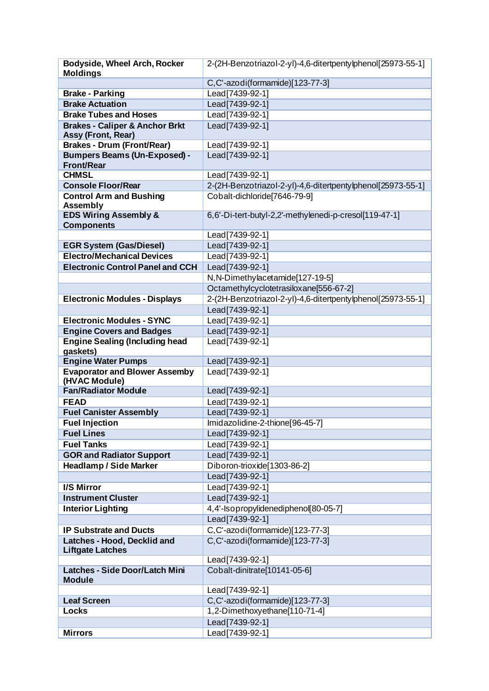| <b>Bodyside, Wheel Arch, Rocker</b>       | 2-(2H-Benzotriazol-2-yl)-4,6-ditertpentylphenol[25973-55-1] |
|-------------------------------------------|-------------------------------------------------------------|
| <b>Moldings</b>                           |                                                             |
|                                           | C,C'-azodi(formamide)[123-77-3]                             |
| <b>Brake - Parking</b>                    | Lead[7439-92-1]                                             |
| <b>Brake Actuation</b>                    | Lead[7439-92-1]                                             |
| <b>Brake Tubes and Hoses</b>              | Lead[7439-92-1]                                             |
| <b>Brakes - Caliper &amp; Anchor Brkt</b> | Lead   7439-92-1                                            |
| <b>Assy (Front, Rear)</b>                 |                                                             |
| Brakes - Drum (Front/Rear)                | Lead[7439-92-1]                                             |
| <b>Bumpers Beams (Un-Exposed) -</b>       | Lead[7439-92-1]                                             |
| <b>Front/Rear</b>                         |                                                             |
| <b>CHMSL</b>                              | Lead[7439-92-1]                                             |
| <b>Console Floor/Rear</b>                 | 2-(2H-Benzotriazol-2-yl)-4,6-ditertpentylphenol[25973-55-1] |
| <b>Control Arm and Bushing</b>            | Cobalt-dichloride [7646-79-9]                               |
| <b>Assembly</b>                           |                                                             |
| <b>EDS Wiring Assembly &amp;</b>          | 6,6'-Di-tert-butyl-2,2'-methylenedi-p-cresol[119-47-1]      |
| <b>Components</b>                         |                                                             |
|                                           | Lead[7439-92-1]                                             |
| <b>EGR System (Gas/Diesel)</b>            | Lead[7439-92-1]                                             |
| <b>Electro/Mechanical Devices</b>         | Lead[7439-92-1]                                             |
| <b>Electronic Control Panel and CCH</b>   | Lead[7439-92-1]                                             |
|                                           | N,N-Dimethylacetamide[127-19-5]                             |
|                                           | Octamethylcyclotetrasiloxane[556-67-2]                      |
| <b>Electronic Modules - Displays</b>      | 2-(2H-Benzotriazol-2-yl)-4,6-ditertpentylphenol[25973-55-1] |
|                                           | Lead[7439-92-1]                                             |
| <b>Electronic Modules - SYNC</b>          | Lead[7439-92-1]                                             |
| <b>Engine Covers and Badges</b>           | Lead[7439-92-1]                                             |
| <b>Engine Sealing (Including head</b>     | Lead[7439-92-1]                                             |
| gaskets)                                  |                                                             |
| <b>Engine Water Pumps</b>                 | Lead[7439-92-1]                                             |
| <b>Evaporator and Blower Assemby</b>      | Lead[7439-92-1]                                             |
| (HVAC Module)                             |                                                             |
| <b>Fan/Radiator Module</b>                | Lead[7439-92-1]                                             |
| <b>FEAD</b>                               | Lead[7439-92-1]                                             |
| <b>Fuel Canister Assembly</b>             | Lead[7439-92-1]                                             |
| <b>Fuel Injection</b>                     | Imidazolidine-2-thione[96-45-7]                             |
| <b>Fuel Lines</b>                         | Lead[7439-92-1]                                             |
| <b>Fuel Tanks</b>                         | Lead[7439-92-1]                                             |
| <b>GOR and Radiator Support</b>           | Lead[7439-92-1]                                             |
| <b>Headlamp / Side Marker</b>             | Diboron-trioxide[1303-86-2]                                 |
|                                           | Lead[7439-92-1]                                             |
| I/S Mirror                                | Lead[7439-92-1]                                             |
| <b>Instrument Cluster</b>                 | Lead[7439-92-1]                                             |
| <b>Interior Lighting</b>                  | 4,4'-Isopropylidenediphenol[80-05-7]                        |
|                                           | Lead[7439-92-1]                                             |
| <b>IP Substrate and Ducts</b>             | C,C'-azodi(formamide)[123-77-3]                             |
| Latches - Hood, Decklid and               | C,C'-azodi(formamide)[123-77-3]                             |
| <b>Liftgate Latches</b>                   |                                                             |
|                                           | Lead[7439-92-1]                                             |
| <b>Latches - Side Door/Latch Mini</b>     | Cobalt-dinitrate[10141-05-6]                                |
| <b>Module</b>                             |                                                             |
|                                           | Lead[7439-92-1]                                             |
| <b>Leaf Screen</b>                        | C,C'-azodi(formamide)[123-77-3]                             |
| <b>Locks</b>                              | 1,2-Dimethoxyethane[110-71-4]                               |
|                                           | Lead[7439-92-1]                                             |
| <b>Mirrors</b>                            | Lead[7439-92-1]                                             |